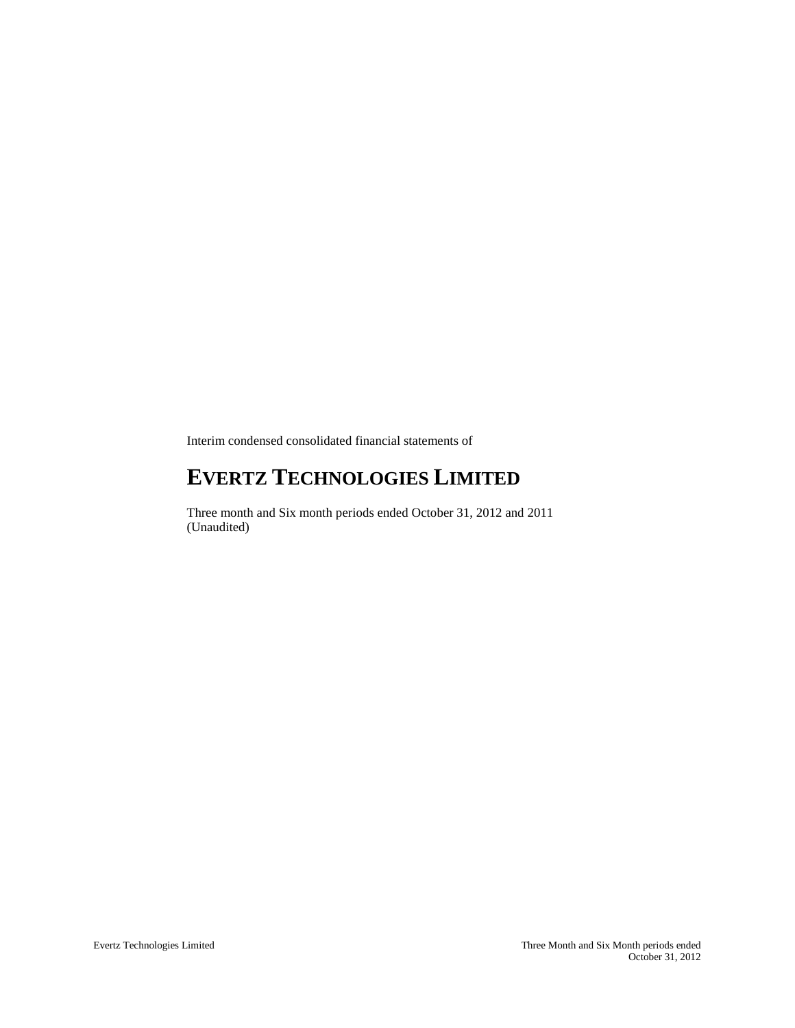Interim condensed consolidated financial statements of

# **EVERTZ TECHNOLOGIES LIMITED**

Three month and Six month periods ended October 31, 2012 and 2011 (Unaudited)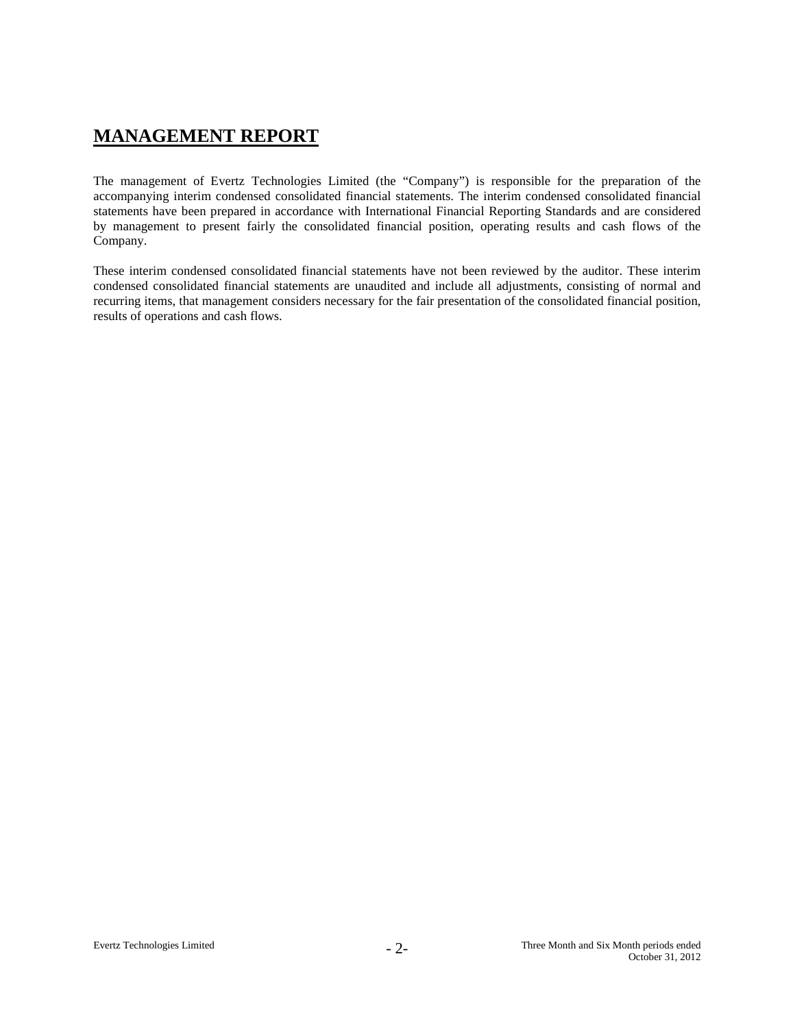# **MANAGEMENT REPORT**

The management of Evertz Technologies Limited (the "Company") is responsible for the preparation of the accompanying interim condensed consolidated financial statements. The interim condensed consolidated financial statements have been prepared in accordance with International Financial Reporting Standards and are considered by management to present fairly the consolidated financial position, operating results and cash flows of the Company.

These interim condensed consolidated financial statements have not been reviewed by the auditor. These interim condensed consolidated financial statements are unaudited and include all adjustments, consisting of normal and recurring items, that management considers necessary for the fair presentation of the consolidated financial position, results of operations and cash flows.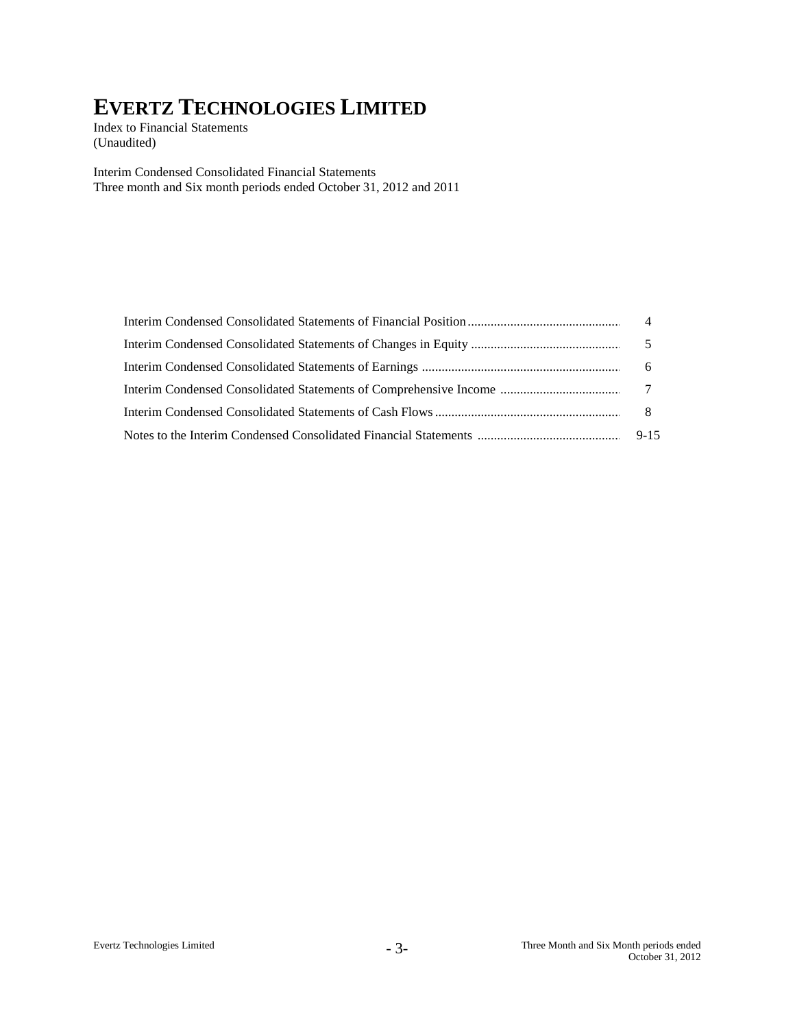Index to Financial Statements (Unaudited)

Interim Condensed Consolidated Financial Statements Three month and Six month periods ended October 31, 2012 and 2011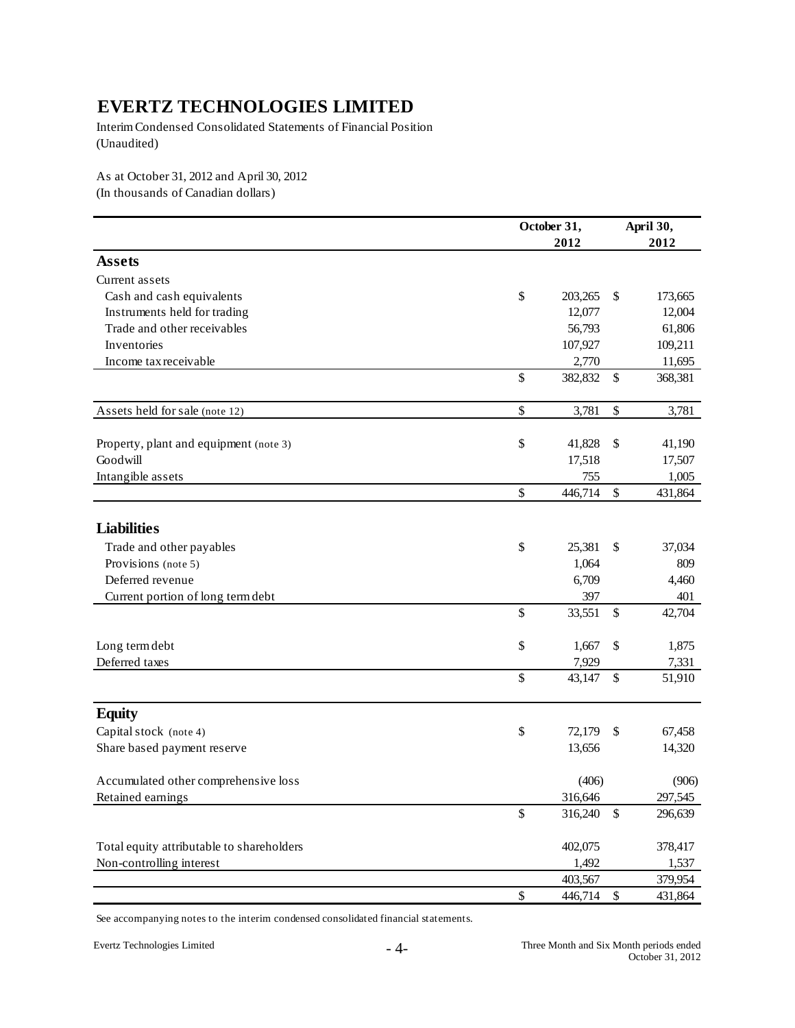Interim Condensed Consolidated Statements of Financial Position (Unaudited)

As at October 31, 2012 and April 30, 2012 (In thousands of Canadian dollars)

|                                           |      | October 31, |    |                   |
|-------------------------------------------|------|-------------|----|-------------------|
|                                           |      | 2012        |    | April 30,<br>2012 |
| <b>Assets</b>                             |      |             |    |                   |
| Current assets                            |      |             |    |                   |
| Cash and cash equivalents                 | \$   | 203,265     | \$ | 173,665           |
| Instruments held for trading              |      | 12,077      |    | 12,004            |
| Trade and other receivables               |      | 56,793      |    | 61,806            |
| Inventories                               |      | 107,927     |    | 109,211           |
| Income tax receivable                     |      | 2,770       |    | 11,695            |
|                                           | \$   | 382,832     | \$ | 368,381           |
| Assets held for sale (note 12)            | \$   | 3,781       | \$ | 3,781             |
| Property, plant and equipment (note 3)    | \$   | 41,828      | \$ | 41,190            |
| Goodwill                                  |      | 17,518      |    | 17,507            |
| Intangible assets                         |      | 755         |    | 1,005             |
|                                           | \$   | 446,714     | \$ | 431,864           |
|                                           |      |             |    |                   |
| <b>Liabilities</b>                        |      |             |    |                   |
| Trade and other payables                  | \$   | 25,381      | \$ | 37,034            |
| Provisions (note 5)                       |      | 1,064       |    | 809               |
| Deferred revenue                          |      | 6,709       |    | 4,460             |
| Current portion of long term debt         |      | 397         |    | 401               |
|                                           | \$   | 33,551      | \$ | 42,704            |
| Long term debt                            | \$   | 1,667       | \$ | 1,875             |
| Deferred taxes                            |      | 7,929       |    | 7,331             |
|                                           | \$   | 43,147      | \$ | 51,910            |
| <b>Equity</b>                             |      |             |    |                   |
| Capital stock (note 4)                    | \$   | 72,179      | \$ | 67,458            |
| Share based payment reserve               |      | 13,656      |    | 14,320            |
| Accumulated other comprehensive loss      |      | (406)       |    | (906)             |
| Retained earnings                         |      | 316,646     |    | 297,545           |
|                                           | \$   | 316,240     | \$ | 296,639           |
| Total equity attributable to shareholders |      | 402,075     |    | 378,417           |
| Non-controlling interest                  |      | 1,492       |    | 1,537             |
|                                           |      | 403,567     |    | 379,954           |
|                                           | $\$$ | 446,714     | \$ | 431,864           |

See accompanying notes to the interim condensed consolidated financial statements.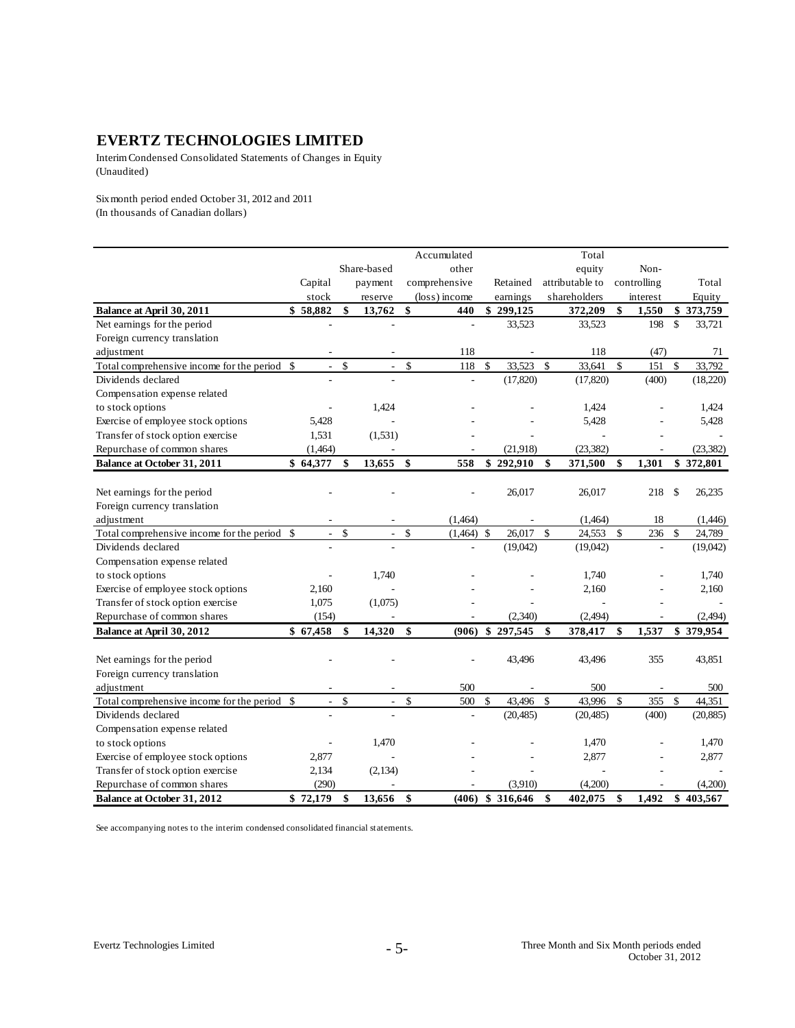Interim Condensed Consolidated Statements of Changes in Equity (Unaudited)

Six month period ended October 31, 2012 and 2011 (In thousands of Canadian dollars)

|                                              |                                |                    |                          |               | Accumulated   |                    |           |               | Total           |               |             |               |           |
|----------------------------------------------|--------------------------------|--------------------|--------------------------|---------------|---------------|--------------------|-----------|---------------|-----------------|---------------|-------------|---------------|-----------|
|                                              |                                |                    | Share-based              |               | other         |                    |           |               | equity          |               | Non-        |               |           |
|                                              | Capital                        |                    | payment                  |               | comprehensive |                    | Retained  |               | attributable to |               | controlling |               | Total     |
|                                              | stock                          |                    | reserve                  |               | (loss) income |                    | earnings  |               | shareholders    |               | interest    |               | Equity    |
| Balance at April 30, 2011                    | \$58,882                       | \$                 | 13,762                   | \$            | 440           |                    | \$299,125 |               | 372,209         | \$            | 1,550       |               | \$373,759 |
| Net earnings for the period                  |                                |                    |                          |               | ÷             |                    | 33,523    |               | 33,523          |               | 198         | $\mathcal{S}$ | 33,721    |
| Foreign currency translation                 |                                |                    |                          |               |               |                    |           |               |                 |               |             |               |           |
| adjustment                                   |                                |                    |                          |               | 118           |                    |           |               | 118             |               | (47)        |               | 71        |
| Total comprehensive income for the period    | \$<br>$\overline{\phantom{a}}$ | \$                 | $\frac{1}{2}$            | \$            | 118           | \$                 | 33,523    | \$            | 33,641          | \$            | 151         | $\mathcal{S}$ | 33,792    |
| Dividends declared                           |                                |                    |                          |               |               |                    | (17, 820) |               | (17, 820)       |               | (400)       |               | (18,220)  |
| Compensation expense related                 |                                |                    |                          |               |               |                    |           |               |                 |               |             |               |           |
| to stock options                             |                                |                    | 1,424                    |               |               |                    |           |               | 1,424           |               |             |               | 1,424     |
| Exercise of employee stock options           | 5,428                          |                    |                          |               |               |                    |           |               | 5,428           |               |             |               | 5,428     |
| Transfer of stock option exercise            | 1,531                          |                    | (1,531)                  |               |               |                    |           |               |                 |               |             |               |           |
| Repurchase of common shares                  | (1,464)                        |                    |                          |               |               |                    | (21,918)  |               | (23, 382)       |               |             |               | (23, 382) |
| <b>Balance at October 31, 2011</b>           | \$64,377                       | \$                 | 13,655                   | \$            | 558           |                    | \$292,910 | \$            | 371,500         | \$            | 1,301       |               | \$372,801 |
|                                              |                                |                    |                          |               |               |                    |           |               |                 |               |             |               |           |
| Net earnings for the period                  |                                |                    |                          |               |               |                    | 26,017    |               | 26,017          |               | 218         | \$            | 26,235    |
| Foreign currency translation                 |                                |                    |                          |               |               |                    |           |               |                 |               |             |               |           |
| adjustment                                   |                                |                    |                          |               | (1,464)       |                    |           |               | (1,464)         |               | 18          |               | (1,446)   |
| Total comprehensive income for the period    | \$<br>$\sim$                   | \$                 | $\overline{\phantom{a}}$ | \$            | (1,464)       | $\mathcal{S}$      | 26,017    | $\mathsf{\$}$ | 24,553          | \$            | 236         | $\mathbf{s}$  | 24,789    |
| Dividends declared                           |                                |                    |                          |               |               |                    | (19,042)  |               | (19,042)        |               |             |               | (19,042)  |
| Compensation expense related                 |                                |                    |                          |               |               |                    |           |               |                 |               |             |               |           |
| to stock options                             |                                |                    | 1,740                    |               |               |                    |           |               | 1,740           |               |             |               | 1,740     |
| Exercise of employee stock options           | 2,160                          |                    |                          |               |               |                    |           |               | 2,160           |               |             |               | 2,160     |
| Transfer of stock option exercise            | 1,075                          |                    | (1,075)                  |               |               |                    |           |               |                 |               |             |               |           |
| Repurchase of common shares                  | (154)                          |                    |                          |               |               |                    | (2,340)   |               | (2, 494)        |               |             |               | (2, 494)  |
| Balance at April 30, 2012                    | \$67,458                       | \$                 | 14,320                   | \$            | (906)         |                    | \$297,545 | \$            | 378,417         | \$            | 1,537       |               | \$379,954 |
|                                              |                                |                    |                          |               |               |                    |           |               |                 |               |             |               |           |
| Net earnings for the period                  |                                |                    |                          |               |               |                    | 43,496    |               | 43,496          |               | 355         |               | 43,851    |
| Foreign currency translation                 |                                |                    |                          |               |               |                    |           |               |                 |               |             |               |           |
| adjustment                                   |                                |                    |                          |               | 500           |                    |           |               | 500             |               |             |               | 500       |
| Total comprehensive income for the period \$ | $\sim$                         | $\mathbf{\hat{S}}$ | $\mathbf{r}$             | \$            | 500           | $\mathbf{\hat{S}}$ | 43,496    | $\mathsf{\$}$ | 43.996          | $\mathcal{S}$ | 355         | $\mathcal{S}$ | 44,351    |
| Dividends declared                           |                                |                    |                          |               |               |                    | (20, 485) |               | (20, 485)       |               | (400)       |               | (20, 885) |
| Compensation expense related                 |                                |                    |                          |               |               |                    |           |               |                 |               |             |               |           |
| to stock options                             |                                |                    | 1,470                    |               |               |                    |           |               | 1,470           |               |             |               | 1,470     |
| Exercise of employee stock options           | 2,877                          |                    |                          |               |               |                    |           |               | 2,877           |               |             |               | 2,877     |
| Transfer of stock option exercise            | 2,134                          |                    | (2,134)                  |               |               |                    |           |               |                 |               |             |               |           |
| Repurchase of common shares                  | (290)                          |                    |                          |               |               |                    | (3,910)   |               | (4,200)         |               |             |               | (4,200)   |
| <b>Balance at October 31, 2012</b>           | \$72,179                       | \$                 | 13,656                   | $\mathbf{\$}$ | (406)         |                    | \$316,646 | \$            | 402,075         | \$            | 1,492       |               | \$403,567 |

See accompanying notes to the interim condensed consolidated financial statements.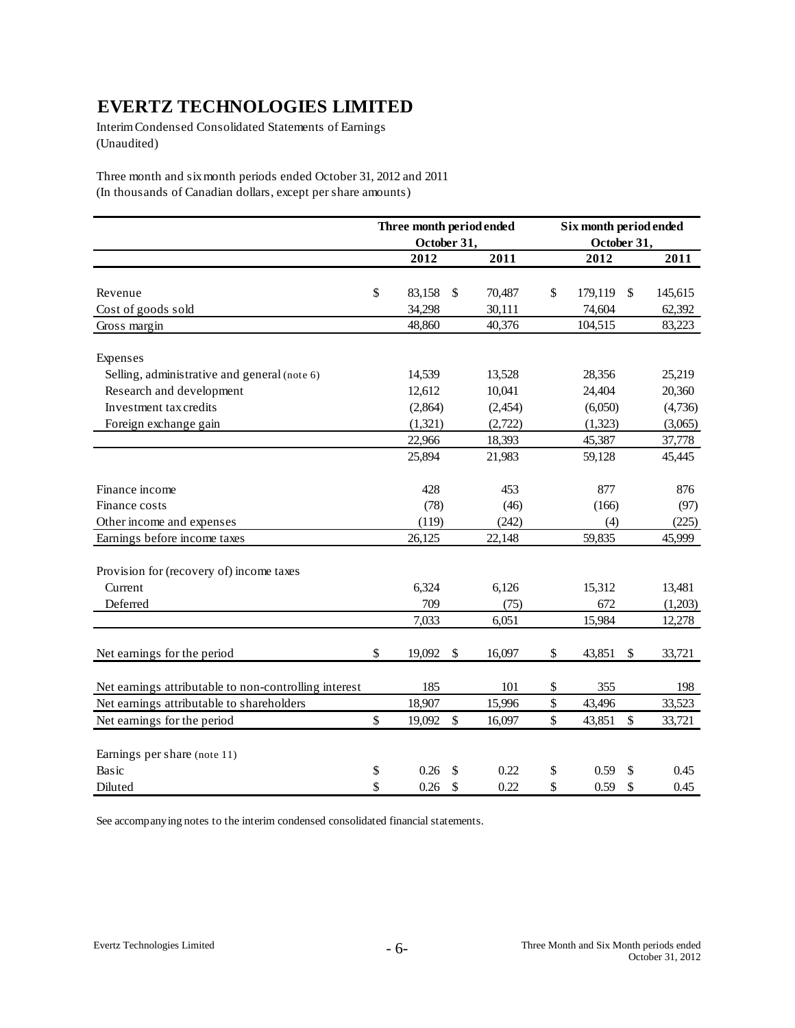Interim Condensed Consolidated Statements of Earnings (Unaudited)

Three month and six month periods ended October 31, 2012 and 2011 (In thousands of Canadian dollars, except per share amounts)

|                                                       | Three month period ended |              | Six month period ended |        |         |  |
|-------------------------------------------------------|--------------------------|--------------|------------------------|--------|---------|--|
|                                                       | October 31,              |              | October 31,<br>2012    |        |         |  |
|                                                       | 2012                     | 2011         |                        |        | 2011    |  |
|                                                       |                          |              |                        |        |         |  |
| Revenue                                               | \$<br>83,158             | \$<br>70,487 | \$<br>179,119          | \$     | 145,615 |  |
| Cost of goods sold                                    | 34,298                   | 30,111       | 74,604                 |        | 62,392  |  |
| Gross margin                                          | 48,860                   | 40,376       | 104,515                |        | 83,223  |  |
| Expenses                                              |                          |              |                        |        |         |  |
| Selling, administrative and general (note 6)          | 14,539                   | 13,528       | 28,356                 |        | 25,219  |  |
| Research and development                              | 12,612                   | 10,041       | 24,404                 |        | 20,360  |  |
| Investment tax credits                                | (2,864)                  | (2, 454)     | (6,050)                |        | (4,736) |  |
| Foreign exchange gain                                 | (1,321)                  | (2,722)      | (1,323)                |        | (3,065) |  |
|                                                       | 22,966                   | 18,393       | 45,387                 |        | 37,778  |  |
|                                                       | 25,894                   | 21,983       | 59,128                 |        | 45,445  |  |
| Finance income                                        | 428                      | 453          | 877                    |        | 876     |  |
| Finance costs                                         | (78)                     | (46)         | (166)                  |        | (97)    |  |
| Other income and expenses                             | (119)                    | (242)        | (4)                    |        | (225)   |  |
| Earnings before income taxes                          | 26,125                   | 22,148       | 59,835                 |        | 45,999  |  |
| Provision for (recovery of) income taxes              |                          |              |                        |        |         |  |
| Current                                               | 6,324                    | 6,126        | 15,312                 |        | 13,481  |  |
| Deferred                                              | 709                      | (75)         | 672                    |        | (1,203) |  |
|                                                       | 7,033                    | 6,051        | 15,984                 |        | 12,278  |  |
| Net earnings for the period                           | \$<br>19,092             | \$<br>16,097 | \$<br>43,851           | \$     | 33,721  |  |
| Net earnings attributable to non-controlling interest | 185                      | 101          | \$<br>355              |        | 198     |  |
| Net earnings attributable to shareholders             | 18,907                   | 15,996       | \$<br>43,496           |        | 33,523  |  |
| Net earnings for the period                           | \$<br>19,092             | \$<br>16,097 | \$<br>43,851           | $\$\,$ | 33,721  |  |
| Earnings per share (note 11)                          |                          |              |                        |        |         |  |
| Basic                                                 | \$<br>0.26               | \$<br>0.22   | \$<br>0.59             | \$     | 0.45    |  |
| Diluted                                               | \$<br>0.26               | \$<br>0.22   | \$<br>0.59             | \$     | 0.45    |  |

See accompanying notes to the interim condensed consolidated financial statements.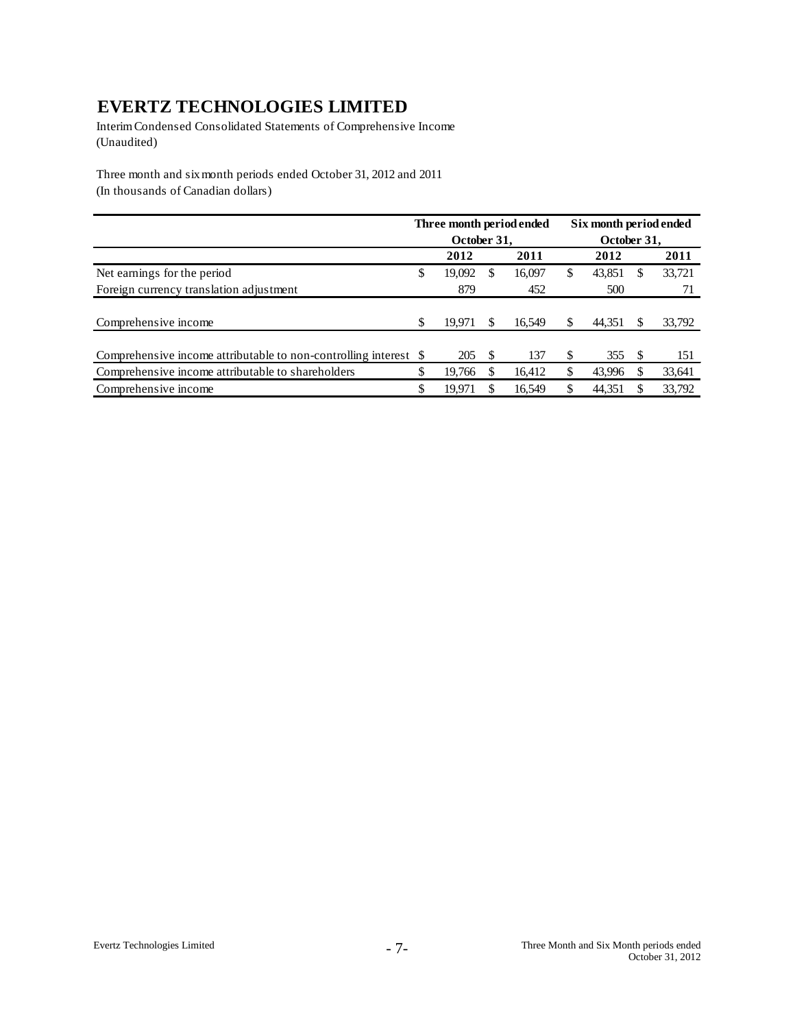Interim Condensed Consolidated Statements of Comprehensive Income (Unaudited)

Three month and six month periods ended October 31, 2012 and 2011 (In thousands of Canadian dollars)

|                                                                  | Three month period ended |          |        |    | Six month period ended |     |        |
|------------------------------------------------------------------|--------------------------|----------|--------|----|------------------------|-----|--------|
|                                                                  | October 31,              |          |        |    | October 31,            |     |        |
|                                                                  | 2012                     |          | 2011   |    | 2012                   |     | 2011   |
| Net earnings for the period                                      | \$<br>19,092             | <b>S</b> | 16,097 | \$ | 43,851                 | S   | 33,721 |
| Foreign currency translation adjustment                          | 879                      |          | 452    |    | 500                    |     |        |
|                                                                  |                          |          |        |    |                        |     |        |
| Comprehensive income                                             | \$<br>19.971             | \$.      | 16.549 | \$ | 44.351                 |     | 33,792 |
|                                                                  |                          |          |        |    |                        |     |        |
| Comprehensive income attributable to non-controlling interest \$ | 205                      | <b>S</b> | 137    | \$ | 355                    | \$. | 151    |
| Comprehensive income attributable to shareholders                | \$<br>19,766             |          | 16.412 | \$ | 43,996                 |     | 33,641 |
| Comprehensive income                                             | \$<br>19.971             |          | 16.549 | S  | 44.351                 |     | 33,792 |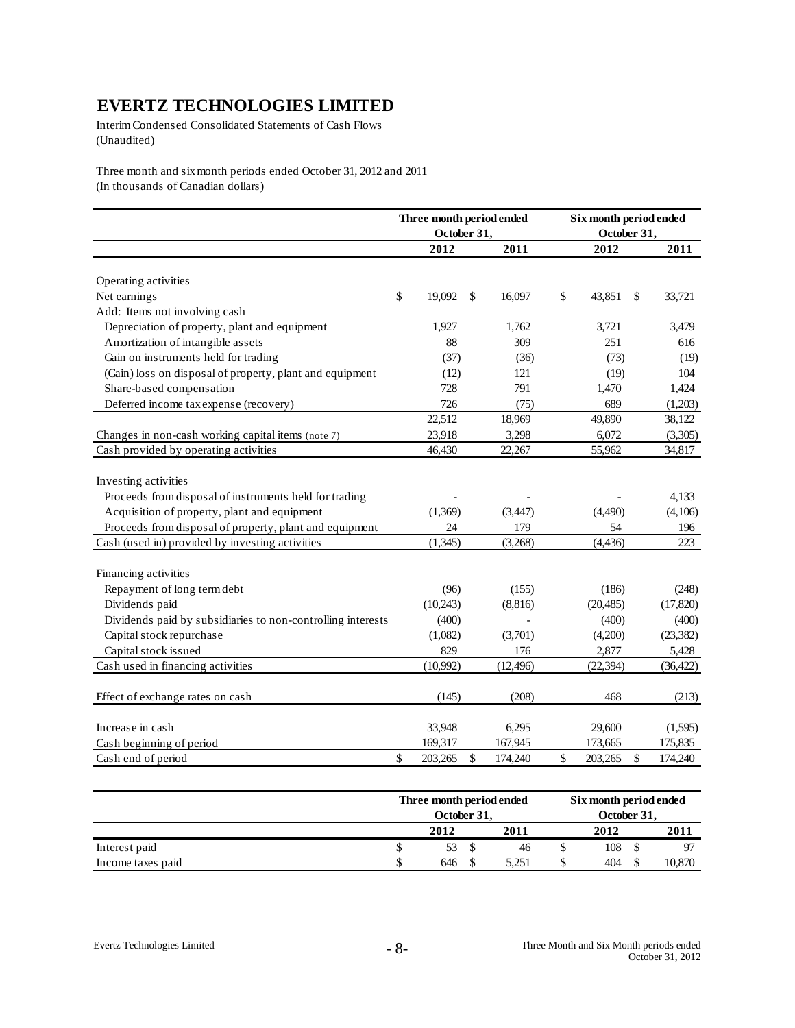Interim Condensed Consolidated Statements of Cash Flows (Unaudited)

Three month and six month periods ended October 31, 2012 and 2011 (In thousands of Canadian dollars)

|                                                                                             | Three month period ended<br>October 31, |    |           | Six month period ended<br>October 31, |    |                   |
|---------------------------------------------------------------------------------------------|-----------------------------------------|----|-----------|---------------------------------------|----|-------------------|
|                                                                                             | 2012                                    |    | 2011      | 2012                                  |    | 2011              |
| Operating activities                                                                        |                                         |    |           |                                       |    |                   |
| \$<br>Net earnings                                                                          | 19,092                                  | S  | 16,097    | \$<br>43,851                          | S  | 33,721            |
| Add: Items not involving cash                                                               |                                         |    |           |                                       |    |                   |
| Depreciation of property, plant and equipment                                               | 1,927                                   |    | 1,762     | 3,721                                 |    | 3,479             |
| Amortization of intangible assets                                                           | 88                                      |    | 309       | 251                                   |    | 616               |
| Gain on instruments held for trading                                                        | (37)                                    |    | (36)      | (73)                                  |    | (19)              |
| (Gain) loss on disposal of property, plant and equipment                                    | (12)                                    |    | 121       | (19)                                  |    | 104               |
| Share-based compensation                                                                    | 728                                     |    | 791       |                                       |    | 1,424             |
| Deferred income tax expense (recovery)                                                      | 726                                     |    | (75)      | 1,470<br>689                          |    | (1,203)           |
|                                                                                             | 22,512                                  |    | 18,969    | 49,890                                |    | 38,122            |
|                                                                                             | 23,918                                  |    | 3,298     | 6,072                                 |    |                   |
| Changes in non-cash working capital items (note 7)<br>Cash provided by operating activities | 46,430                                  |    | 22,267    | 55,962                                |    | (3,305)<br>34,817 |
|                                                                                             |                                         |    |           |                                       |    |                   |
| Investing activities                                                                        |                                         |    |           |                                       |    |                   |
| Proceeds from disposal of instruments held for trading                                      |                                         |    |           |                                       |    | 4,133             |
| Acquisition of property, plant and equipment                                                | (1,369)                                 |    | (3,447)   | (4,490)                               |    | (4,106)           |
| Proceeds from disposal of property, plant and equipment                                     | 24                                      |    | 179       | 54                                    |    | 196               |
| Cash (used in) provided by investing activities                                             | (1, 345)                                |    | (3,268)   | (4, 436)                              |    | 223               |
|                                                                                             |                                         |    |           |                                       |    |                   |
| Financing activities                                                                        |                                         |    |           |                                       |    |                   |
| Repayment of long term debt                                                                 | (96)                                    |    | (155)     | (186)                                 |    | (248)             |
| Dividends paid                                                                              | (10,243)                                |    | (8,816)   | (20, 485)                             |    | (17, 820)         |
| Dividends paid by subsidiaries to non-controlling interests                                 | (400)                                   |    |           | (400)                                 |    | (400)             |
| Capital stock repurchase                                                                    | (1,082)                                 |    | (3,701)   | (4,200)                               |    | (23, 382)         |
| Capital stock issued                                                                        | 829                                     |    | 176       | 2,877                                 |    | 5,428             |
| Cash used in financing activities                                                           | (10,992)                                |    | (12, 496) | (22, 394)                             |    | (36, 422)         |
| Effect of exchange rates on cash                                                            | (145)                                   |    | (208)     | 468                                   |    | (213)             |
| Increase in cash                                                                            | 33,948                                  |    | 6,295     | 29,600                                |    | (1,595)           |
| Cash beginning of period                                                                    | 169,317                                 |    | 167,945   | 173,665                               |    | 175,835           |
| \$<br>Cash end of period                                                                    | 203,265                                 | \$ | 174,240   | \$<br>203,265                         | \$ | 174,240           |

|                   | Three month period ended |       | Six month period ended |             |  |        |  |  |
|-------------------|--------------------------|-------|------------------------|-------------|--|--------|--|--|
|                   | October 31.              |       |                        | October 31, |  |        |  |  |
|                   | 2012                     | 2011  |                        | 2012        |  | 2011   |  |  |
| Interest paid     | 53                       | 46    |                        | 108         |  |        |  |  |
| Income taxes paid | 646                      | 5.251 | \$                     | 404         |  | 10,870 |  |  |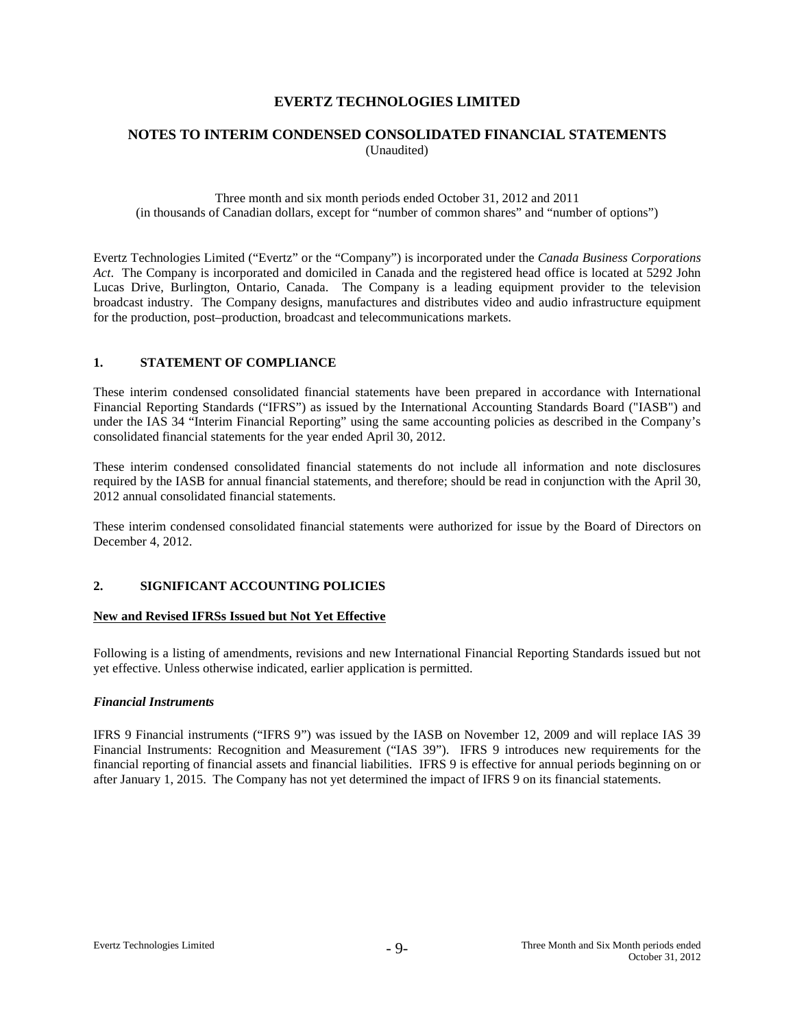# **NOTES TO INTERIM CONDENSED CONSOLIDATED FINANCIAL STATEMENTS** (Unaudited)

Three month and six month periods ended October 31, 2012 and 2011 (in thousands of Canadian dollars, except for "number of common shares" and "number of options")

Evertz Technologies Limited ("Evertz" or the "Company") is incorporated under the *Canada Business Corporations Act*. The Company is incorporated and domiciled in Canada and the registered head office is located at 5292 John Lucas Drive, Burlington, Ontario, Canada. The Company is a leading equipment provider to the television broadcast industry. The Company designs, manufactures and distributes video and audio infrastructure equipment for the production, post–production, broadcast and telecommunications markets.

# **1. STATEMENT OF COMPLIANCE**

These interim condensed consolidated financial statements have been prepared in accordance with International Financial Reporting Standards ("IFRS") as issued by the International Accounting Standards Board ("IASB") and under the IAS 34 "Interim Financial Reporting" using the same accounting policies as described in the Company's consolidated financial statements for the year ended April 30, 2012.

These interim condensed consolidated financial statements do not include all information and note disclosures required by the IASB for annual financial statements, and therefore; should be read in conjunction with the April 30, 2012 annual consolidated financial statements.

These interim condensed consolidated financial statements were authorized for issue by the Board of Directors on December 4, 2012.

### **2. SIGNIFICANT ACCOUNTING POLICIES**

#### **New and Revised IFRSs Issued but Not Yet Effective**

Following is a listing of amendments, revisions and new International Financial Reporting Standards issued but not yet effective. Unless otherwise indicated, earlier application is permitted.

#### *Financial Instruments*

IFRS 9 Financial instruments ("IFRS 9") was issued by the IASB on November 12, 2009 and will replace IAS 39 Financial Instruments: Recognition and Measurement ("IAS 39"). IFRS 9 introduces new requirements for the financial reporting of financial assets and financial liabilities. IFRS 9 is effective for annual periods beginning on or after January 1, 2015. The Company has not yet determined the impact of IFRS 9 on its financial statements.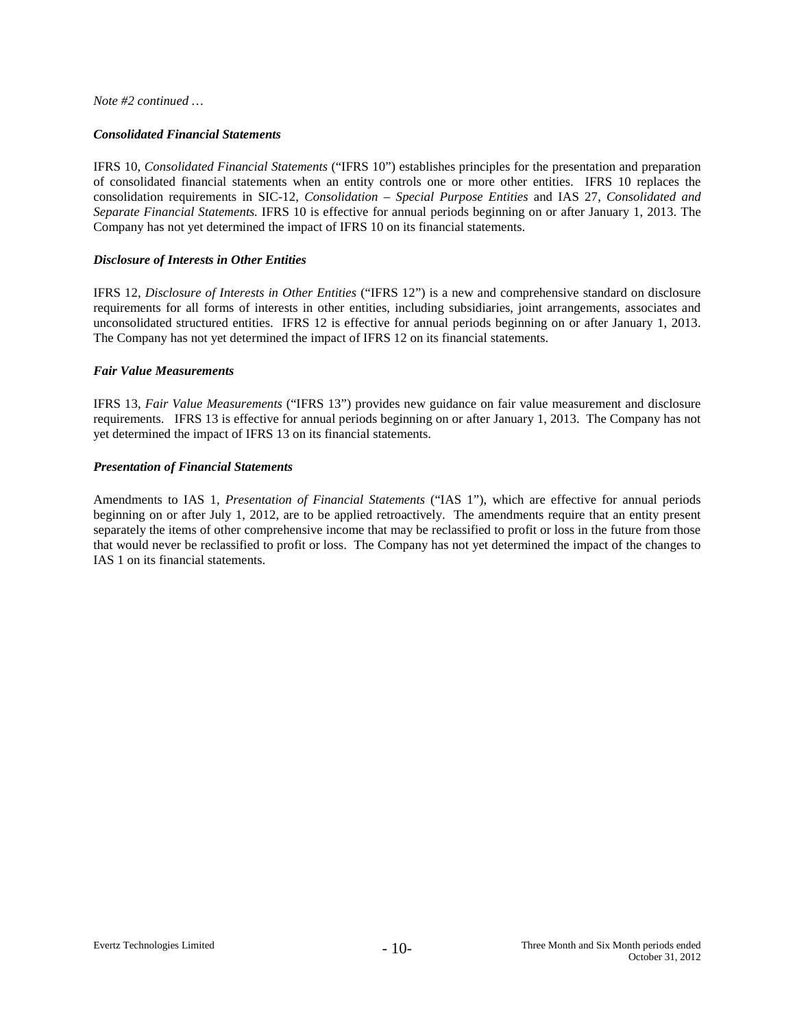*Note #2 continued …*

### *Consolidated Financial Statements*

IFRS 10, *Consolidated Financial Statements* ("IFRS 10") establishes principles for the presentation and preparation of consolidated financial statements when an entity controls one or more other entities. IFRS 10 replaces the consolidation requirements in SIC-12, *Consolidation – Special Purpose Entities* and IAS 27, *Consolidated and Separate Financial Statements.* IFRS 10 is effective for annual periods beginning on or after January 1, 2013. The Company has not yet determined the impact of IFRS 10 on its financial statements.

# *Disclosure of Interests in Other Entities*

IFRS 12, *Disclosure of Interests in Other Entities* ("IFRS 12") is a new and comprehensive standard on disclosure requirements for all forms of interests in other entities, including subsidiaries, joint arrangements, associates and unconsolidated structured entities. IFRS 12 is effective for annual periods beginning on or after January 1, 2013. The Company has not yet determined the impact of IFRS 12 on its financial statements.

### *Fair Value Measurements*

IFRS 13, *Fair Value Measurements* ("IFRS 13") provides new guidance on fair value measurement and disclosure requirements. IFRS 13 is effective for annual periods beginning on or after January 1, 2013. The Company has not yet determined the impact of IFRS 13 on its financial statements.

### *Presentation of Financial Statements*

Amendments to IAS 1, *Presentation of Financial Statements* ("IAS 1"), which are effective for annual periods beginning on or after July 1, 2012, are to be applied retroactively. The amendments require that an entity present separately the items of other comprehensive income that may be reclassified to profit or loss in the future from those that would never be reclassified to profit or loss. The Company has not yet determined the impact of the changes to IAS 1 on its financial statements.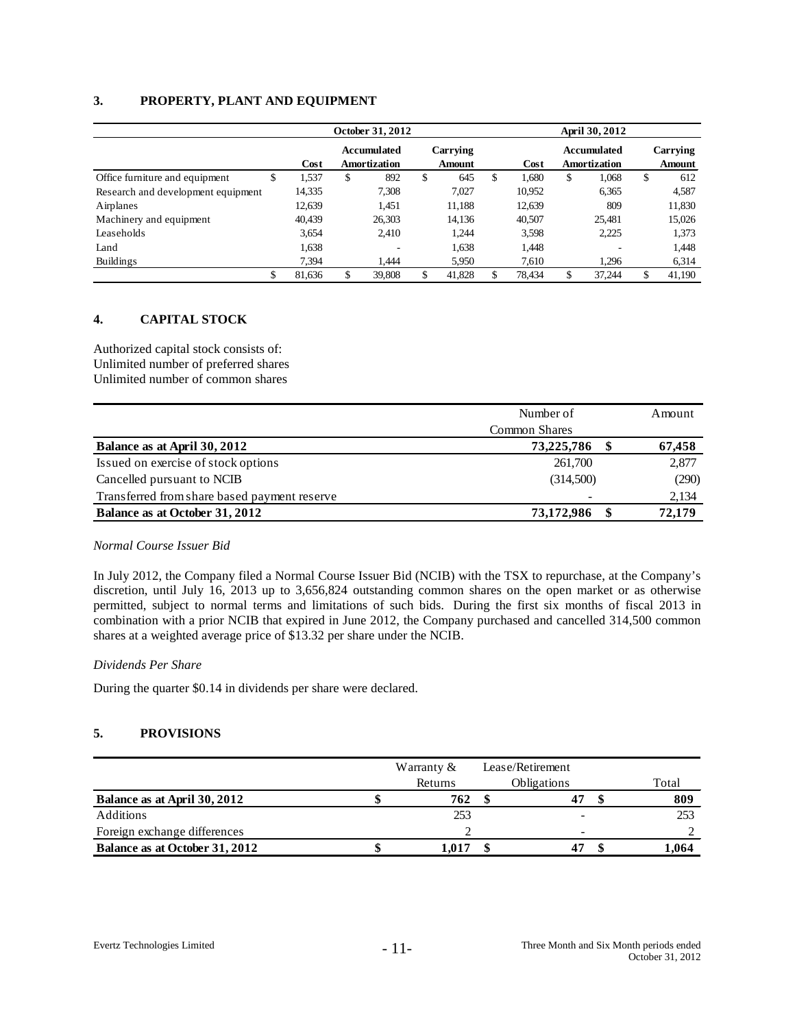# **3. PROPERTY, PLANT AND EQUIPMENT**

|                                    |    |        | October 31, 2012                   |    | April 30, 2012            |             |    |                                    |    |                    |
|------------------------------------|----|--------|------------------------------------|----|---------------------------|-------------|----|------------------------------------|----|--------------------|
|                                    |    | Cost   | <b>Accumulated</b><br>Amortization |    | Carrying<br><b>Amount</b> | Cost        |    | Accumulated<br><b>Amortization</b> |    | Carrying<br>Amount |
| Office furniture and equipment     | Φ  | 1,537  | \$<br>892                          | \$ | 645                       | \$<br>1.680 | \$ | 1,068                              | \$ | 612                |
| Research and development equipment |    | 14,335 | 7,308                              |    | 7,027                     | 10,952      |    | 6,365                              |    | 4,587              |
| Airplanes                          |    | 12,639 | 1.451                              |    | 11,188                    | 12,639      |    | 809                                |    | 11,830             |
| Machinery and equipment            |    | 40,439 | 26,303                             |    | 14,136                    | 40,507      |    | 25,481                             |    | 15,026             |
| Leaseholds                         |    | 3,654  | 2.410                              |    | 1,244                     | 3,598       |    | 2,225                              |    | 1,373              |
| Land                               |    | 1,638  | -                                  |    | 1,638                     | 1,448       |    | $\overline{\phantom{a}}$           |    | 1,448              |
| <b>Buildings</b>                   |    | 7.394  | 1.444                              |    | 5,950                     | 7,610       |    | 1.296                              |    | 6,314              |
|                                    | \$ | 81,636 | \$<br>39.808                       | \$ | 41,828                    | 78.434      | \$ | 37.244                             | \$ | 41.190             |

# **4. CAPITAL STOCK**

Authorized capital stock consists of: Unlimited number of preferred shares Unlimited number of common shares

|                                              | Number of            | Amount |
|----------------------------------------------|----------------------|--------|
|                                              | <b>Common Shares</b> |        |
| Balance as at April 30, 2012                 | 73,225,786           | 67,458 |
| Issued on exercise of stock options          | 261,700              | 2,877  |
| Cancelled pursuant to NCIB                   | (314,500)            | (290)  |
| Transferred from share based payment reserve |                      | 2,134  |
| Balance as at October 31, 2012               | 73,172,986           | 72,179 |

#### *Normal Course Issuer Bid*

In July 2012, the Company filed a Normal Course Issuer Bid (NCIB) with the TSX to repurchase, at the Company's discretion, until July 16, 2013 up to 3,656,824 outstanding common shares on the open market or as otherwise permitted, subject to normal terms and limitations of such bids. During the first six months of fiscal 2013 in combination with a prior NCIB that expired in June 2012, the Company purchased and cancelled 314,500 common shares at a weighted average price of \$13.32 per share under the NCIB.

### *Dividends Per Share*

During the quarter \$0.14 in dividends per share were declared.

### **5. PROVISIONS**

|                                | Warranty $\&$ |         |  | Lease/Retirement   |       |
|--------------------------------|---------------|---------|--|--------------------|-------|
|                                |               | Returns |  | <b>Obligations</b> | Total |
| Balance as at April 30, 2012   |               | 762     |  |                    | 809   |
| Additions                      |               | 253     |  |                    | 253   |
| Foreign exchange differences   |               |         |  |                    |       |
| Balance as at October 31, 2012 |               | 1.017   |  |                    | 1.064 |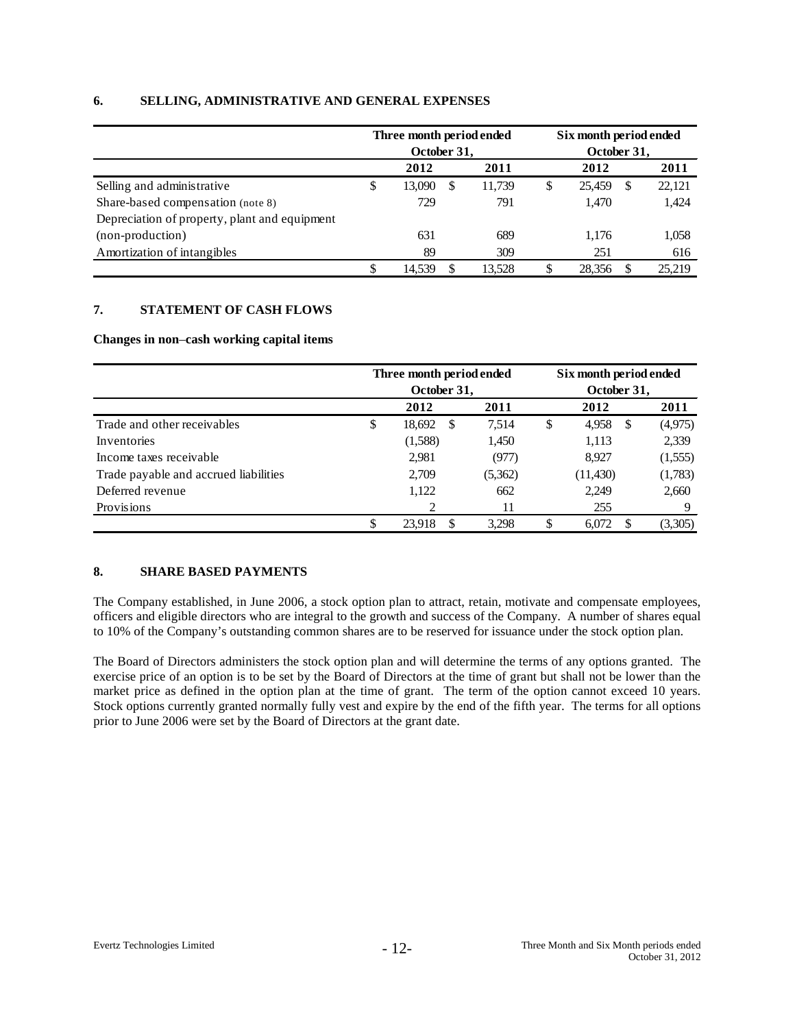# **6. SELLING, ADMINISTRATIVE AND GENERAL EXPENSES**

|                                               | Three month period ended<br>October 31, |      | Six month period ended<br>October 31, |      |        |    |        |  |
|-----------------------------------------------|-----------------------------------------|------|---------------------------------------|------|--------|----|--------|--|
|                                               | 2012                                    | 2012 |                                       | 2011 |        |    |        |  |
| Selling and administrative                    | \$<br>13.090                            | -S   | 11,739                                | \$   | 25.459 | \$ | 22,121 |  |
| Share-based compensation (note 8)             | 729                                     |      | 791                                   |      | 1.470  |    | 1,424  |  |
| Depreciation of property, plant and equipment |                                         |      |                                       |      |        |    |        |  |
| (non-production)                              | 631                                     |      | 689                                   |      | 1.176  |    | 1,058  |  |
| Amortization of intangibles                   | 89                                      |      | 309                                   |      | 251    |    | 616    |  |
|                                               | \$<br>14.539                            | S    | 13.528                                | \$   | 28.356 |    | 25.219 |  |

# **7. STATEMENT OF CASH FLOWS**

#### **Changes in non**–**cash working capital items**

|                                       | Three month period ended |               |         |    |               | Six month period ended |
|---------------------------------------|--------------------------|---------------|---------|----|---------------|------------------------|
|                                       | October 31,              |               |         |    | October 31,   |                        |
|                                       | 2012                     |               | 2011    |    | 2012          | 2011                   |
| Trade and other receivables           | \$<br>18,692             | <sup>\$</sup> | 7.514   | \$ | 4,958<br>- \$ | (4,975)                |
| Inventories                           | (1,588)                  |               | 1,450   |    | 1,113         | 2,339                  |
| Income taxes receivable               | 2,981                    |               | (977)   |    | 8.927         | (1,555)                |
| Trade payable and accrued liabilities | 2,709                    |               | (5,362) |    | (11, 430)     | (1,783)                |
| Deferred revenue                      | 1,122                    |               | 662     |    | 2,249         | 2,660                  |
| Provisions                            |                          |               | 11      |    | 255           | Q                      |
|                                       | \$<br>23.918             | S             | 3.298   | \$ | 6.072         | (3,305)                |

# **8. SHARE BASED PAYMENTS**

The Company established, in June 2006, a stock option plan to attract, retain, motivate and compensate employees, officers and eligible directors who are integral to the growth and success of the Company. A number of shares equal to 10% of the Company's outstanding common shares are to be reserved for issuance under the stock option plan.

The Board of Directors administers the stock option plan and will determine the terms of any options granted. The exercise price of an option is to be set by the Board of Directors at the time of grant but shall not be lower than the market price as defined in the option plan at the time of grant. The term of the option cannot exceed 10 years. Stock options currently granted normally fully vest and expire by the end of the fifth year. The terms for all options prior to June 2006 were set by the Board of Directors at the grant date.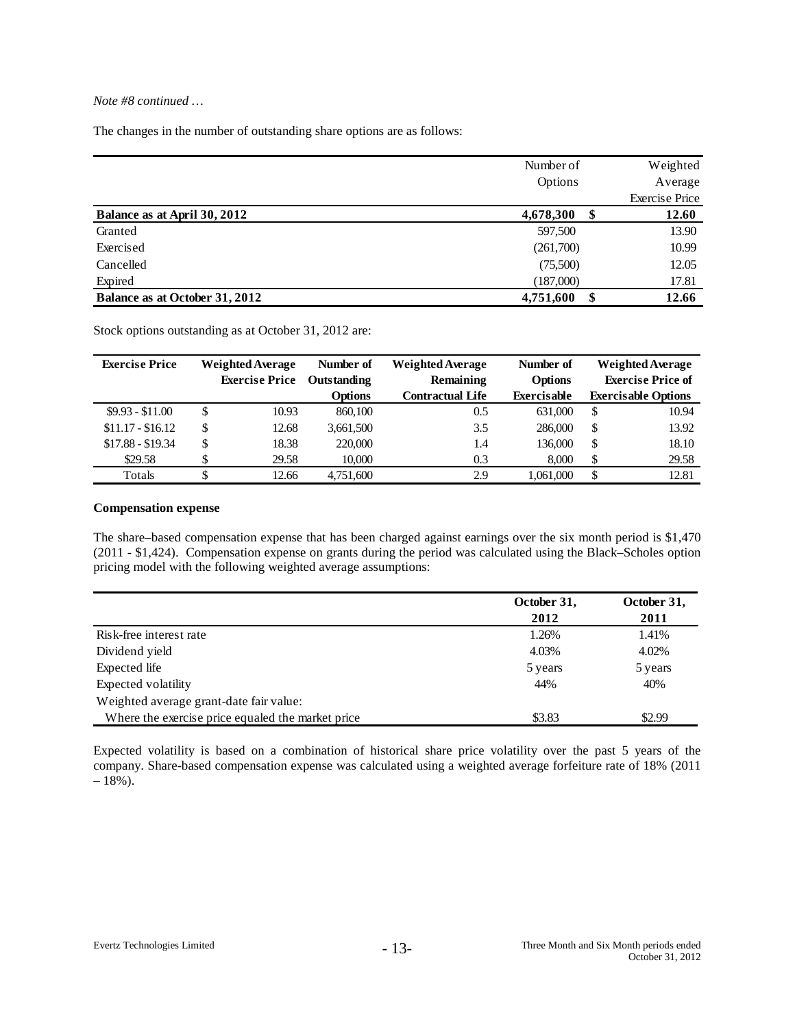### *Note #8 continued …*

The changes in the number of outstanding share options are as follows:

|                                | Number of | Weighted              |
|--------------------------------|-----------|-----------------------|
|                                | Options   | Average               |
|                                |           | <b>Exercise Price</b> |
| Balance as at April 30, 2012   | 4,678,300 | 12.60                 |
| Granted                        | 597,500   | 13.90                 |
| Exercised                      | (261,700) | 10.99                 |
| Cancelled                      | (75,500)  | 12.05                 |
| Expired                        | (187,000) | 17.81                 |
| Balance as at October 31, 2012 | 4,751,600 | 12.66                 |

Stock options outstanding as at October 31, 2012 are:

| <b>Exercise Price</b> | <b>Weighted Average</b> |       | Number of      | <b>Weighted Average</b> | Number of          | <b>Weighted Average</b> |                            |
|-----------------------|-------------------------|-------|----------------|-------------------------|--------------------|-------------------------|----------------------------|
|                       | <b>Exercise Price</b>   |       | Outstanding    | Remaining               | <b>Options</b>     |                         | <b>Exercise Price of</b>   |
|                       |                         |       | <b>Options</b> | <b>Contractual Life</b> | <b>Exercisable</b> |                         | <b>Exercisable Options</b> |
| $$9.93 - $11.00$      | \$                      | 10.93 | 860,100        | 0.5                     | 631,000            | S                       | 10.94                      |
| $$11.17 - $16.12$     | \$                      | 12.68 | 3,661,500      | 3.5                     | 286,000            | \$                      | 13.92                      |
| $$17.88 - $19.34$     | \$                      | 18.38 | 220,000        | 1.4                     | 136,000            | \$                      | 18.10                      |
| \$29.58               |                         | 29.58 | 10.000         | 0.3                     | 8.000              | \$                      | 29.58                      |
| Totals                |                         | 12.66 | 4.751.600      | 2.9                     | 1.061.000          | S                       | 12.81                      |

### **Compensation expense**

The share–based compensation expense that has been charged against earnings over the six month period is \$1,470 (2011 - \$1,424). Compensation expense on grants during the period was calculated using the Black–Scholes option pricing model with the following weighted average assumptions:

|                                                   | October 31, | October 31, |
|---------------------------------------------------|-------------|-------------|
|                                                   | 2012        | 2011        |
| Risk-free interest rate                           | 1.26%       | 1.41%       |
| Dividend yield                                    | 4.03%       | 4.02%       |
| Expected life                                     | 5 years     | 5 years     |
| Expected volatility                               | 44%         | 40%         |
| Weighted average grant-date fair value:           |             |             |
| Where the exercise price equaled the market price | \$3.83      | \$2.99      |

Expected volatility is based on a combination of historical share price volatility over the past 5 years of the company. Share-based compensation expense was calculated using a weighted average forfeiture rate of 18% (2011  $-18%$ ).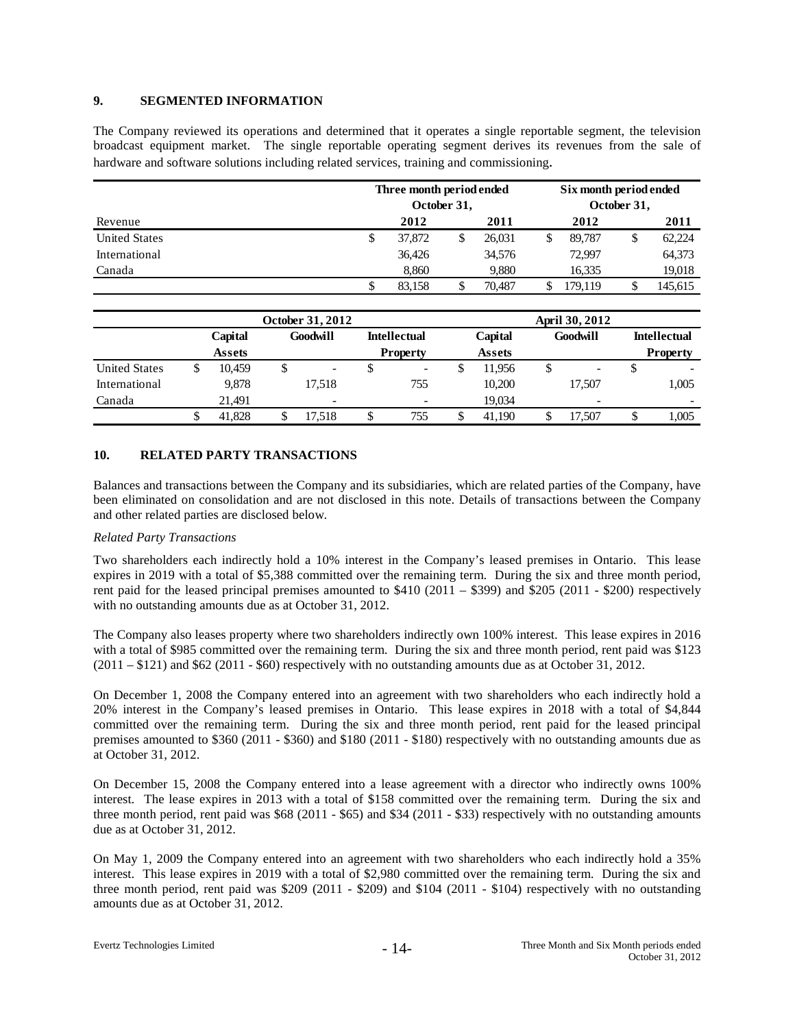### **9. SEGMENTED INFORMATION**

The Company reviewed its operations and determined that it operates a single reportable segment, the television broadcast equipment market. The single reportable operating segment derives its revenues from the sale of hardware and software solutions including related services, training and commissioning.

|                      | Three month period ended<br>October 31, |        |  |        |   | Six month period ended<br>October 31, |    |         |  |
|----------------------|-----------------------------------------|--------|--|--------|---|---------------------------------------|----|---------|--|
| Revenue              |                                         | 2012   |  | 2011   |   | 2012                                  |    | 2011    |  |
| <b>United States</b> | \$                                      | 37,872 |  | 26.031 | S | 89.787                                | \$ | 62,224  |  |
| International        |                                         | 36.426 |  | 34,576 |   | 72.997                                |    | 64,373  |  |
| Canada               |                                         | 8,860  |  | 9.880  |   | 16.335                                |    | 19,018  |  |
|                      |                                         | 83.158 |  | 70.487 |   | 179.119                               | ۰D | 145,615 |  |

|                      |                     |        |  | <b>October 31, 2012</b>  |   | <b>April 30, 2012</b>    |  |         |    |                          |   |                          |  |
|----------------------|---------------------|--------|--|--------------------------|---|--------------------------|--|---------|----|--------------------------|---|--------------------------|--|
|                      | Capital<br>Goodwill |        |  |                          |   | <b>Intellectual</b>      |  | Capital |    | Goodwill                 |   | <b>Intellectual</b>      |  |
|                      |                     | Assets |  |                          |   | <b>Property</b>          |  | Assets  |    |                          |   | <b>Property</b>          |  |
| <b>United States</b> |                     | 10.459 |  | $\overline{\phantom{a}}$ |   | $\overline{\phantom{a}}$ |  | 11.956  | \$ | $\overline{\phantom{0}}$ | S | $\overline{\phantom{a}}$ |  |
| International        |                     | 9.878  |  | 17.518                   |   | 755                      |  | 10.200  |    | 17.507                   |   | 1.005                    |  |
| Canada               |                     | 21.491 |  | -                        |   |                          |  | 19.034  |    |                          |   |                          |  |
|                      |                     | 41.828 |  | 17.518                   | J | 755                      |  | 41.190  | J  | 17.507                   | J | 1.005                    |  |

### **10. RELATED PARTY TRANSACTIONS**

Balances and transactions between the Company and its subsidiaries, which are related parties of the Company, have been eliminated on consolidation and are not disclosed in this note. Details of transactions between the Company and other related parties are disclosed below.

#### *Related Party Transactions*

Two shareholders each indirectly hold a 10% interest in the Company's leased premises in Ontario. This lease expires in 2019 with a total of \$5,388 committed over the remaining term. During the six and three month period, rent paid for the leased principal premises amounted to \$410 (2011 – \$399) and \$205 (2011 - \$200) respectively with no outstanding amounts due as at October 31, 2012.

The Company also leases property where two shareholders indirectly own 100% interest. This lease expires in 2016 with a total of \$985 committed over the remaining term. During the six and three month period, rent paid was \$123 (2011 – \$121) and \$62 (2011 - \$60) respectively with no outstanding amounts due as at October 31, 2012.

On December 1, 2008 the Company entered into an agreement with two shareholders who each indirectly hold a 20% interest in the Company's leased premises in Ontario. This lease expires in 2018 with a total of \$4,844 committed over the remaining term. During the six and three month period, rent paid for the leased principal premises amounted to \$360 (2011 - \$360) and \$180 (2011 - \$180) respectively with no outstanding amounts due as at October 31, 2012.

On December 15, 2008 the Company entered into a lease agreement with a director who indirectly owns 100% interest. The lease expires in 2013 with a total of \$158 committed over the remaining term. During the six and three month period, rent paid was \$68 (2011 - \$65) and \$34 (2011 - \$33) respectively with no outstanding amounts due as at October 31, 2012.

On May 1, 2009 the Company entered into an agreement with two shareholders who each indirectly hold a 35% interest. This lease expires in 2019 with a total of \$2,980 committed over the remaining term. During the six and three month period, rent paid was \$209 (2011 - \$209) and \$104 (2011 - \$104) respectively with no outstanding amounts due as at October 31, 2012.